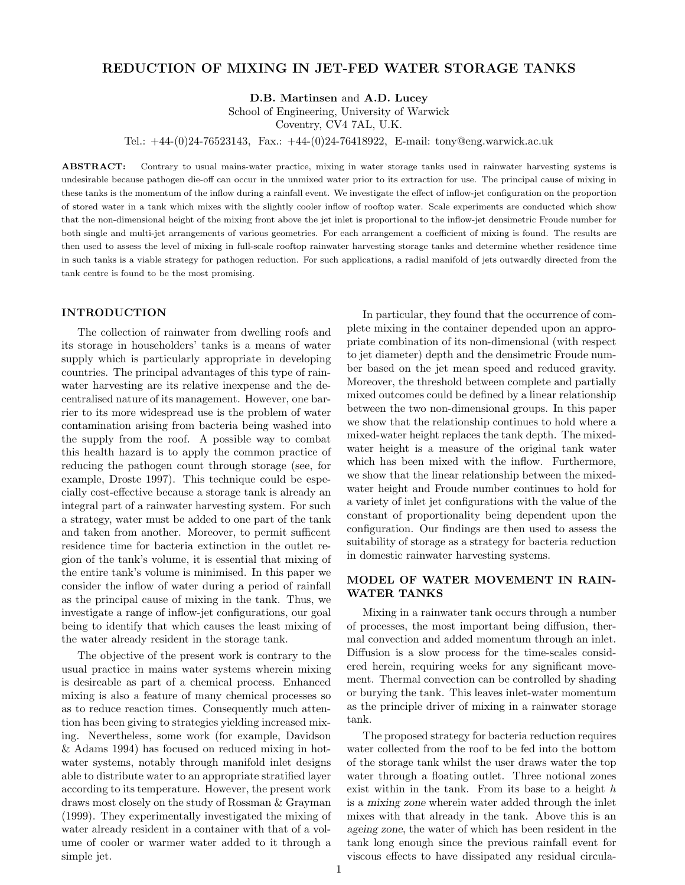# REDUCTION OF MIXING IN JET-FED WATER STORAGE TANKS

D.B. Martinsen and A.D. Lucey

School of Engineering, University of Warwick

Coventry, CV4 7AL, U.K.

Tel.: +44-(0)24-76523143, Fax.: +44-(0)24-76418922, E-mail: tony@eng.warwick.ac.uk

ABSTRACT: Contrary to usual mains-water practice, mixing in water storage tanks used in rainwater harvesting systems is undesirable because pathogen die-off can occur in the unmixed water prior to its extraction for use. The principal cause of mixing in these tanks is the momentum of the inflow during a rainfall event. We investigate the effect of inflow-jet configuration on the proportion of stored water in a tank which mixes with the slightly cooler inflow of rooftop water. Scale experiments are conducted which show that the non-dimensional height of the mixing front above the jet inlet is proportional to the inflow-jet densimetric Froude number for both single and multi-jet arrangements of various geometries. For each arrangement a coefficient of mixing is found. The results are then used to assess the level of mixing in full-scale rooftop rainwater harvesting storage tanks and determine whether residence time in such tanks is a viable strategy for pathogen reduction. For such applications, a radial manifold of jets outwardly directed from the tank centre is found to be the most promising.

# INTRODUCTION

The collection of rainwater from dwelling roofs and its storage in householders' tanks is a means of water supply which is particularly appropriate in developing countries. The principal advantages of this type of rainwater harvesting are its relative inexpense and the decentralised nature of its management. However, one barrier to its more widespread use is the problem of water contamination arising from bacteria being washed into the supply from the roof. A possible way to combat this health hazard is to apply the common practice of reducing the pathogen count through storage (see, for example, Droste 1997). This technique could be especially cost-effective because a storage tank is already an integral part of a rainwater harvesting system. For such a strategy, water must be added to one part of the tank and taken from another. Moreover, to permit sufficent residence time for bacteria extinction in the outlet region of the tank's volume, it is essential that mixing of the entire tank's volume is minimised. In this paper we consider the inflow of water during a period of rainfall as the principal cause of mixing in the tank. Thus, we investigate a range of inflow-jet configurations, our goal being to identify that which causes the least mixing of the water already resident in the storage tank.

The objective of the present work is contrary to the usual practice in mains water systems wherein mixing is desireable as part of a chemical process. Enhanced mixing is also a feature of many chemical processes so as to reduce reaction times. Consequently much attention has been giving to strategies yielding increased mixing. Nevertheless, some work (for example, Davidson & Adams 1994) has focused on reduced mixing in hotwater systems, notably through manifold inlet designs able to distribute water to an appropriate stratified layer according to its temperature. However, the present work draws most closely on the study of Rossman & Grayman (1999). They experimentally investigated the mixing of water already resident in a container with that of a volume of cooler or warmer water added to it through a simple jet.

In particular, they found that the occurrence of complete mixing in the container depended upon an appropriate combination of its non-dimensional (with respect to jet diameter) depth and the densimetric Froude number based on the jet mean speed and reduced gravity. Moreover, the threshold between complete and partially mixed outcomes could be defined by a linear relationship between the two non-dimensional groups. In this paper we show that the relationship continues to hold where a mixed-water height replaces the tank depth. The mixedwater height is a measure of the original tank water which has been mixed with the inflow. Furthermore, we show that the linear relationship between the mixedwater height and Froude number continues to hold for a variety of inlet jet configurations with the value of the constant of proportionality being dependent upon the configuration. Our findings are then used to assess the suitability of storage as a strategy for bacteria reduction in domestic rainwater harvesting systems.

# MODEL OF WATER MOVEMENT IN RAIN-WATER TANKS

Mixing in a rainwater tank occurs through a number of processes, the most important being diffusion, thermal convection and added momentum through an inlet. Diffusion is a slow process for the time-scales considered herein, requiring weeks for any significant movement. Thermal convection can be controlled by shading or burying the tank. This leaves inlet-water momentum as the principle driver of mixing in a rainwater storage tank.

The proposed strategy for bacteria reduction requires water collected from the roof to be fed into the bottom of the storage tank whilst the user draws water the top water through a floating outlet. Three notional zones exist within in the tank. From its base to a height  $h$ is a mixing zone wherein water added through the inlet mixes with that already in the tank. Above this is an ageing zone, the water of which has been resident in the tank long enough since the previous rainfall event for viscous effects to have dissipated any residual circula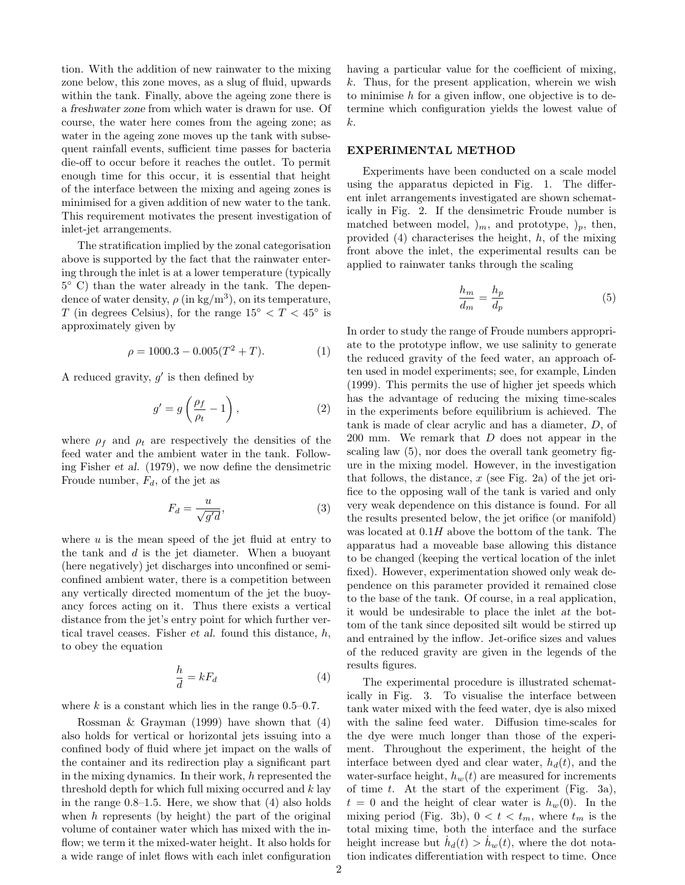tion. With the addition of new rainwater to the mixing zone below, this zone moves, as a slug of fluid, upwards within the tank. Finally, above the ageing zone there is a freshwater zone from which water is drawn for use. Of course, the water here comes from the ageing zone; as water in the ageing zone moves up the tank with subsequent rainfall events, sufficient time passes for bacteria die-off to occur before it reaches the outlet. To permit enough time for this occur, it is essential that height of the interface between the mixing and ageing zones is minimised for a given addition of new water to the tank. This requirement motivates the present investigation of inlet-jet arrangements.

The stratification implied by the zonal categorisation above is supported by the fact that the rainwater entering through the inlet is at a lower temperature (typically 5 ◦ C) than the water already in the tank. The dependence of water density,  $\rho$  (in kg/m<sup>3</sup>), on its temperature, T (in degrees Celsius), for the range  $15^{\circ} < T < 45^{\circ}$  is approximately given by

$$
\rho = 1000.3 - 0.005(T^2 + T). \tag{1}
$$

A reduced gravity,  $g'$  is then defined by

$$
g' = g\left(\frac{\rho_f}{\rho_t} - 1\right),\tag{2}
$$

where  $\rho_f$  and  $\rho_t$  are respectively the densities of the feed water and the ambient water in the tank. Following Fisher et al. (1979), we now define the densimetric Froude number,  $F_d$ , of the jet as

$$
F_d = \frac{u}{\sqrt{g'd}},\tag{3}
$$

where  $u$  is the mean speed of the jet fluid at entry to the tank and  $d$  is the jet diameter. When a buoyant (here negatively) jet discharges into unconfined or semiconfined ambient water, there is a competition between any vertically directed momentum of the jet the buoyancy forces acting on it. Thus there exists a vertical distance from the jet's entry point for which further vertical travel ceases. Fisher *et al.* found this distance,  $h$ , to obey the equation

$$
\frac{h}{d} = kF_d \tag{4}
$$

where  $k$  is a constant which lies in the range 0.5–0.7.

Rossman & Grayman (1999) have shown that (4) also holds for vertical or horizontal jets issuing into a confined body of fluid where jet impact on the walls of the container and its redirection play a significant part in the mixing dynamics. In their work,  $h$  represented the threshold depth for which full mixing occurred and k lay in the range 0.8–1.5. Here, we show that (4) also holds when  $h$  represents (by height) the part of the original volume of container water which has mixed with the inflow; we term it the mixed-water height. It also holds for a wide range of inlet flows with each inlet configuration having a particular value for the coefficient of mixing,  $k$ . Thus, for the present application, wherein we wish to minimise  $h$  for a given inflow, one objective is to determine which configuration yields the lowest value of k.

### EXPERIMENTAL METHOD

Experiments have been conducted on a scale model using the apparatus depicted in Fig. 1. The different inlet arrangements investigated are shown schematically in Fig. 2. If the densimetric Froude number is matched between model,  $\mathfrak{h}_m$ , and prototype,  $\mathfrak{h}_p$ , then, provided  $(4)$  characterises the height, h, of the mixing front above the inlet, the experimental results can be applied to rainwater tanks through the scaling

$$
\frac{h_m}{d_m} = \frac{h_p}{d_p} \tag{5}
$$

In order to study the range of Froude numbers appropriate to the prototype inflow, we use salinity to generate the reduced gravity of the feed water, an approach often used in model experiments; see, for example, Linden (1999). This permits the use of higher jet speeds which has the advantage of reducing the mixing time-scales in the experiments before equilibrium is achieved. The tank is made of clear acrylic and has a diameter, D, of 200 mm. We remark that D does not appear in the scaling law (5), nor does the overall tank geometry figure in the mixing model. However, in the investigation that follows, the distance,  $x$  (see Fig. 2a) of the jet orifice to the opposing wall of the tank is varied and only very weak dependence on this distance is found. For all the results presented below, the jet orifice (or manifold) was located at 0.1H above the bottom of the tank. The apparatus had a moveable base allowing this distance to be changed (keeping the vertical location of the inlet fixed). However, experimentation showed only weak dependence on this parameter provided it remained close to the base of the tank. Of course, in a real application, it would be undesirable to place the inlet at the bottom of the tank since deposited silt would be stirred up and entrained by the inflow. Jet-orifice sizes and values of the reduced gravity are given in the legends of the results figures.

The experimental procedure is illustrated schematically in Fig. 3. To visualise the interface between tank water mixed with the feed water, dye is also mixed with the saline feed water. Diffusion time-scales for the dye were much longer than those of the experiment. Throughout the experiment, the height of the interface between dyed and clear water,  $h_d(t)$ , and the water-surface height,  $h_w(t)$  are measured for increments of time  $t$ . At the start of the experiment (Fig. 3a),  $t = 0$  and the height of clear water is  $h_w(0)$ . In the mixing period (Fig. 3b),  $0 < t < t_m$ , where  $t_m$  is the total mixing time, both the interface and the surface height increase but  $\dot{h}_d(t) > \dot{h}_w(t)$ , where the dot notation indicates differentiation with respect to time. Once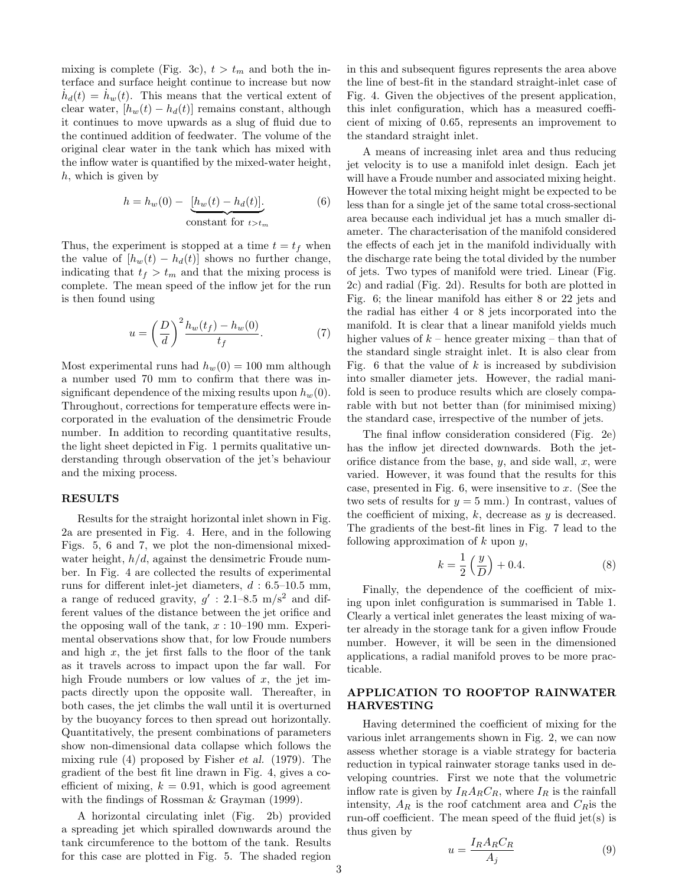mixing is complete (Fig. 3c),  $t > t_m$  and both the interface and surface height continue to increase but now  $\dot{h}_d(t) = \dot{h}_w(t)$ . This means that the vertical extent of clear water,  $[h_w(t) - h_d(t)]$  remains constant, although it continues to move upwards as a slug of fluid due to the continued addition of feedwater. The volume of the original clear water in the tank which has mixed with the inflow water is quantified by the mixed-water height, h, which is given by

$$
h = h_w(0) - \underbrace{[h_w(t) - h_d(t)]}_{\text{constant for } t > t_m}.
$$
 (6)

Thus, the experiment is stopped at a time  $t = t_f$  when the value of  $[h_w(t) - h_d(t)]$  shows no further change, indicating that  $t_f > t_m$  and that the mixing process is complete. The mean speed of the inflow jet for the run is then found using

$$
u = \left(\frac{D}{d}\right)^2 \frac{h_w(t_f) - h_w(0)}{t_f}.\tag{7}
$$

Most experimental runs had  $h_w(0) = 100$  mm although a number used 70 mm to confirm that there was insignificant dependence of the mixing results upon  $h_w(0)$ . Throughout, corrections for temperature effects were incorporated in the evaluation of the densimetric Froude number. In addition to recording quantitative results, the light sheet depicted in Fig. 1 permits qualitative understanding through observation of the jet's behaviour and the mixing process.

#### RESULTS

Results for the straight horizontal inlet shown in Fig. 2a are presented in Fig. 4. Here, and in the following Figs. 5, 6 and 7, we plot the non-dimensional mixedwater height,  $h/d$ , against the densimetric Froude number. In Fig. 4 are collected the results of experimental runs for different inlet-jet diameters,  $d : 6.5{\text -}10.5$  mm, a range of reduced gravity,  $g'$  : 2.1–8.5 m/s<sup>2</sup> and different values of the distance between the jet orifice and the opposing wall of the tank,  $x:10-190$  mm. Experimental observations show that, for low Froude numbers and high  $x$ , the jet first falls to the floor of the tank as it travels across to impact upon the far wall. For high Froude numbers or low values of  $x$ , the jet impacts directly upon the opposite wall. Thereafter, in both cases, the jet climbs the wall until it is overturned by the buoyancy forces to then spread out horizontally. Quantitatively, the present combinations of parameters show non-dimensional data collapse which follows the mixing rule (4) proposed by Fisher et al. (1979). The gradient of the best fit line drawn in Fig. 4, gives a coefficient of mixing,  $k = 0.91$ , which is good agreement with the findings of Rossman & Grayman (1999).

A horizontal circulating inlet (Fig. 2b) provided a spreading jet which spiralled downwards around the tank circumference to the bottom of the tank. Results for this case are plotted in Fig. 5. The shaded region in this and subsequent figures represents the area above the line of best-fit in the standard straight-inlet case of Fig. 4. Given the objectives of the present application, this inlet configuration, which has a measured coefficient of mixing of 0.65, represents an improvement to the standard straight inlet.

A means of increasing inlet area and thus reducing jet velocity is to use a manifold inlet design. Each jet will have a Froude number and associated mixing height. However the total mixing height might be expected to be less than for a single jet of the same total cross-sectional area because each individual jet has a much smaller diameter. The characterisation of the manifold considered the effects of each jet in the manifold individually with the discharge rate being the total divided by the number of jets. Two types of manifold were tried. Linear (Fig. 2c) and radial (Fig. 2d). Results for both are plotted in Fig. 6; the linear manifold has either 8 or 22 jets and the radial has either 4 or 8 jets incorporated into the manifold. It is clear that a linear manifold yields much higher values of  $k$  – hence greater mixing – than that of the standard single straight inlet. It is also clear from Fig. 6 that the value of  $k$  is increased by subdivision into smaller diameter jets. However, the radial manifold is seen to produce results which are closely comparable with but not better than (for minimised mixing) the standard case, irrespective of the number of jets.

The final inflow consideration considered (Fig. 2e) has the inflow jet directed downwards. Both the jetorifice distance from the base,  $y$ , and side wall,  $x$ , were varied. However, it was found that the results for this case, presented in Fig.  $6$ , were insensitive to x. (See the two sets of results for  $y = 5$  mm.) In contrast, values of the coefficient of mixing,  $k$ , decrease as  $y$  is decreased. The gradients of the best-fit lines in Fig. 7 lead to the following approximation of  $k$  upon  $y$ ,

$$
k = \frac{1}{2} \left( \frac{y}{D} \right) + 0.4. \tag{8}
$$

Finally, the dependence of the coefficient of mixing upon inlet configuration is summarised in Table 1. Clearly a vertical inlet generates the least mixing of water already in the storage tank for a given inflow Froude number. However, it will be seen in the dimensioned applications, a radial manifold proves to be more practicable.

### APPLICATION TO ROOFTOP RAINWATER HARVESTING

Having determined the coefficient of mixing for the various inlet arrangements shown in Fig. 2, we can now assess whether storage is a viable strategy for bacteria reduction in typical rainwater storage tanks used in developing countries. First we note that the volumetric inflow rate is given by  $I_R A_R C_R$ , where  $I_R$  is the rainfall intensity,  $A_R$  is the roof catchment area and  $C_R$ is the run-off coefficient. The mean speed of the fluid jet(s) is thus given by

$$
u = \frac{I_R A_R C_R}{A_j} \tag{9}
$$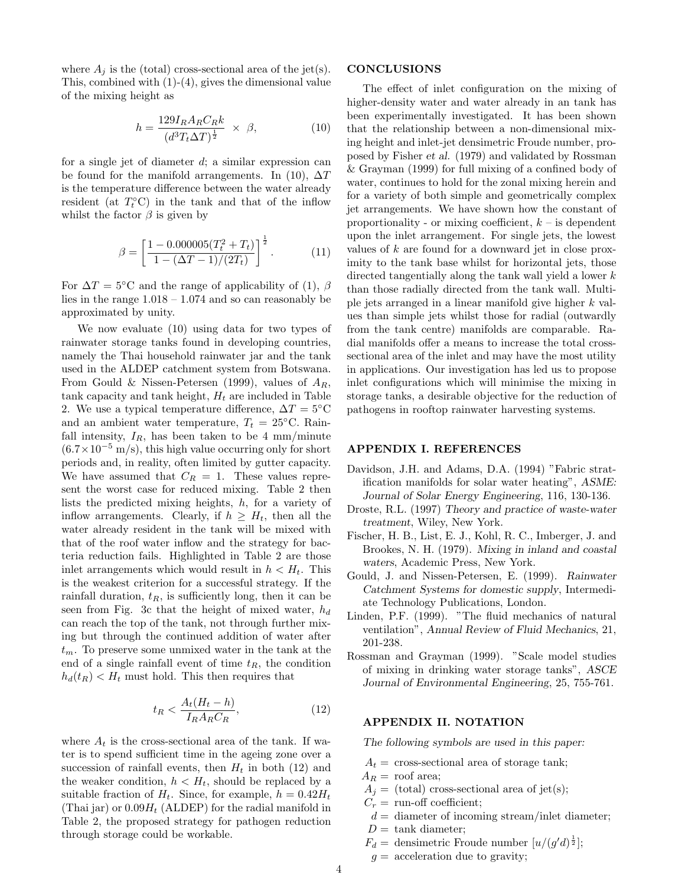where  $A_i$  is the (total) cross-sectional area of the jet(s). This, combined with (1)-(4), gives the dimensional value of the mixing height as

$$
h = \frac{129I_R A_R C_R k}{(d^3 T_t \Delta T)^{\frac{1}{2}}} \times \beta,
$$
\n(10)

for a single jet of diameter d; a similar expression can be found for the manifold arrangements. In (10),  $\Delta T$ is the temperature difference between the water already resident (at  $T_t^{\circ}$ C) in the tank and that of the inflow whilst the factor  $\beta$  is given by

$$
\beta = \left[\frac{1 - 0.000005(T_t^2 + T_t)}{1 - (\Delta T - 1)/(2T_t)}\right]^{\frac{1}{2}}.
$$
\n(11)

For  $\Delta T = 5$ °C and the range of applicability of (1),  $\beta$ lies in the range  $1.018 - 1.074$  and so can reasonably be approximated by unity.

We now evaluate (10) using data for two types of rainwater storage tanks found in developing countries, namely the Thai household rainwater jar and the tank used in the ALDEP catchment system from Botswana. From Gould & Nissen-Petersen (1999), values of  $A_R$ , tank capacity and tank height,  $H_t$  are included in Table 2. We use a typical temperature difference,  $\Delta T = 5$ °C and an ambient water temperature,  $T_t = 25$ °C. Rainfall intensity,  $I_R$ , has been taken to be 4 mm/minute  $(6.7\times10^{-5} \text{ m/s})$ , this high value occurring only for short periods and, in reality, often limited by gutter capacity. We have assumed that  $C_R = 1$ . These values represent the worst case for reduced mixing. Table 2 then lists the predicted mixing heights, h, for a variety of inflow arrangements. Clearly, if  $h \geq H_t$ , then all the water already resident in the tank will be mixed with that of the roof water inflow and the strategy for bacteria reduction fails. Highlighted in Table 2 are those inlet arrangements which would result in  $h < H_t$ . This is the weakest criterion for a successful strategy. If the rainfall duration,  $t_R$ , is sufficiently long, then it can be seen from Fig. 3c that the height of mixed water,  $h_d$ can reach the top of the tank, not through further mixing but through the continued addition of water after  $t_m$ . To preserve some unmixed water in the tank at the end of a single rainfall event of time  $t_R$ , the condition  $h_d(t_R) < H_t$  must hold. This then requires that

$$
t_R < \frac{A_t (H_t - h)}{I_R A_R C_R},\tag{12}
$$

where  $A_t$  is the cross-sectional area of the tank. If water is to spend sufficient time in the ageing zone over a succession of rainfall events, then  $H_t$  in both (12) and the weaker condition,  $h < H_t$ , should be replaced by a suitable fraction of  $H_t$ . Since, for example,  $h = 0.42H_t$ (Thai jar) or  $0.09H_t$  (ALDEP) for the radial manifold in Table 2, the proposed strategy for pathogen reduction through storage could be workable.

#### CONCLUSIONS

The effect of inlet configuration on the mixing of higher-density water and water already in an tank has been experimentally investigated. It has been shown that the relationship between a non-dimensional mixing height and inlet-jet densimetric Froude number, proposed by Fisher et al. (1979) and validated by Rossman & Grayman (1999) for full mixing of a confined body of water, continues to hold for the zonal mixing herein and for a variety of both simple and geometrically complex jet arrangements. We have shown how the constant of proportionality - or mixing coefficient,  $k - i$  is dependent upon the inlet arrangement. For single jets, the lowest values of k are found for a downward jet in close proximity to the tank base whilst for horizontal jets, those directed tangentially along the tank wall yield a lower k than those radially directed from the tank wall. Multiple jets arranged in a linear manifold give higher k values than simple jets whilst those for radial (outwardly from the tank centre) manifolds are comparable. Radial manifolds offer a means to increase the total crosssectional area of the inlet and may have the most utility in applications. Our investigation has led us to propose inlet configurations which will minimise the mixing in storage tanks, a desirable objective for the reduction of pathogens in rooftop rainwater harvesting systems.

### APPENDIX I. REFERENCES

- Davidson, J.H. and Adams, D.A. (1994) "Fabric stratification manifolds for solar water heating", ASME: Journal of Solar Energy Engineering, 116, 130-136.
- Droste, R.L. (1997) Theory and practice of waste-water treatment, Wiley, New York.
- Fischer, H. B., List, E. J., Kohl, R. C., Imberger, J. and Brookes, N. H. (1979). Mixing in inland and coastal waters, Academic Press, New York.
- Gould, J. and Nissen-Petersen, E. (1999). Rainwater Catchment Systems for domestic supply, Intermediate Technology Publications, London.
- Linden, P.F. (1999). "The fluid mechanics of natural ventilation", Annual Review of Fluid Mechanics, 21, 201-238.
- Rossman and Grayman (1999). "Scale model studies of mixing in drinking water storage tanks", ASCE Journal of Environmental Engineering, 25, 755-761.

#### APPENDIX II. NOTATION

The following symbols are used in this paper:

- $A_t$  = cross-sectional area of storage tank;
- $A_R = \text{roof area};$
- $A_i =$  (total) cross-sectional area of jet(s);
- $C_r = \text{run-off coefficient};$
- $d =$  diameter of incoming stream/inlet diameter;
- $D = \text{rank diameter};$
- $F_d =$  densimetric Froude number  $[u/(g'd)^{\frac{1}{2}}]$ ;
- $g =$  acceleration due to gravity;